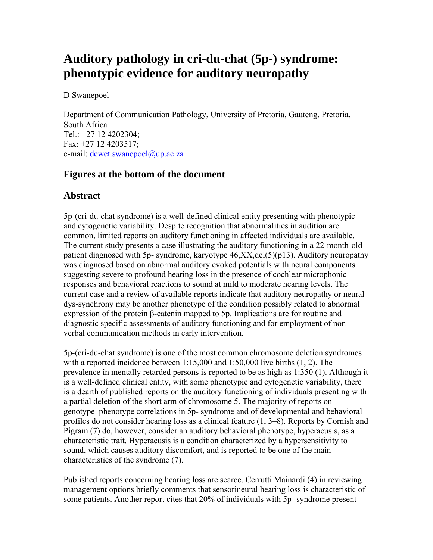# **Auditory pathology in cri-du-chat (5p-) syndrome: phenotypic evidence for auditory neuropathy**

D Swanepoel

Department of Communication Pathology, University of Pretoria, Gauteng, Pretoria, South Africa Tel.: +27 12 4202304; Fax: +27 12 4203517; e-mail: dewet.swanepoel@up.ac.za

## **Figures at the bottom of the document**

## **Abstract**

5p-(cri-du-chat syndrome) is a well-defined clinical entity presenting with phenotypic and cytogenetic variability. Despite recognition that abnormalities in audition are common, limited reports on auditory functioning in affected individuals are available. The current study presents a case illustrating the auditory functioning in a 22-month-old patient diagnosed with 5p- syndrome, karyotype 46,XX,del(5)(p13). Auditory neuropathy was diagnosed based on abnormal auditory evoked potentials with neural components suggesting severe to profound hearing loss in the presence of cochlear microphonic responses and behavioral reactions to sound at mild to moderate hearing levels. The current case and a review of available reports indicate that auditory neuropathy or neural dys-synchrony may be another phenotype of the condition possibly related to abnormal expression of the protein β-catenin mapped to 5p. Implications are for routine and diagnostic specific assessments of auditory functioning and for employment of nonverbal communication methods in early intervention.

5p-(cri-du-chat syndrome) is one of the most common chromosome deletion syndromes with a reported incidence between 1:15,000 and 1:50,000 live births (1, 2). The prevalence in mentally retarded persons is reported to be as high as 1:350 (1). Although it is a well-defined clinical entity, with some phenotypic and cytogenetic variability, there is a dearth of published reports on the auditory functioning of individuals presenting with a partial deletion of the short arm of chromosome 5. The majority of reports on genotype–phenotype correlations in 5p- syndrome and of developmental and behavioral profiles do not consider hearing loss as a clinical feature (1, 3–8). Reports by Cornish and Pigram (7) do, however, consider an auditory behavioral phenotype, hyperacusis, as a characteristic trait. Hyperacusis is a condition characterized by a hypersensitivity to sound, which causes auditory discomfort, and is reported to be one of the main characteristics of the syndrome (7).

Published reports concerning hearing loss are scarce. Cerrutti Mainardi (4) in reviewing management options briefly comments that sensorineural hearing loss is characteristic of some patients. Another report cites that 20% of individuals with 5p- syndrome present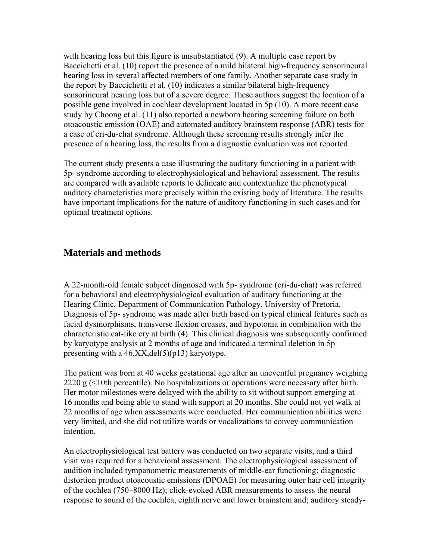with hearing loss but this figure is unsubstantiated (9). A multiple case report by Baccichetti et al. (10) report the presence of a mild bilateral high-frequency sensorineural hearing loss in several affected members of one family. Another separate case study in the report by Baccichetti et al. (10) indicates a similar bilateral high-frequency sensorineural hearing loss but of a severe degree. These authors suggest the location of a possible gene involved in cochlear development located in 5p (10). A more recent case study by Choong et al. (11) also reported a newborn hearing screening failure on both otoacoustic emission (OAE) and automated auditory brainstem response (ABR) tests for a case of cri-du-chat syndrome. Although these screening results strongly infer the presence of a hearing loss, the results from a diagnostic evaluation was not reported.

The current study presents a case illustrating the auditory functioning in a patient with 5p- syndrome according to electrophysiological and behavioral assessment. The results are compared with available reports to delineate and contextualize the phenotypical auditory characteristics more precisely within the existing body of literature. The results have important implications for the nature of auditory functioning in such cases and for optimal treatment options.

#### **Materials and methods**

A 22-month-old female subject diagnosed with 5p- syndrome (cri-du-chat) was referred for a behavioral and electrophysiological evaluation of auditory functioning at the Hearing Clinic, Department of Communication Pathology, University of Pretoria. Diagnosis of 5p- syndrome was made after birth based on typical clinical features such as facial dysmorphisms, transverse flexion creases, and hypotonia in combination with the characteristic cat-like cry at birth (4). This clinical diagnosis was subsequently confirmed by karyotype analysis at 2 months of age and indicated a terminal deletion in 5p presenting with a  $46, XX, del(5)(p13)$  karyotype.

The patient was born at 40 weeks gestational age after an uneventful pregnancy weighing 2220 g (<10th percentile). No hospitalizations or operations were necessary after birth. Her motor milestones were delayed with the ability to sit without support emerging at 16 months and being able to stand with support at 20 months. She could not yet walk at 22 months of age when assessments were conducted. Her communication abilities were very limited, and she did not utilize words or vocalizations to convey communication intention.

An electrophysiological test battery was conducted on two separate visits, and a third visit was required for a behavioral assessment. The electrophysiological assessment of audition included tympanometric measurements of middle-ear functioning; diagnostic distortion product otoacoustic emissions (DPOAE) for measuring outer hair cell integrity of the cochlea (750–8000 Hz); click-evoked ABR measurements to assess the neural response to sound of the cochlea, eighth nerve and lower brainstem and; auditory steady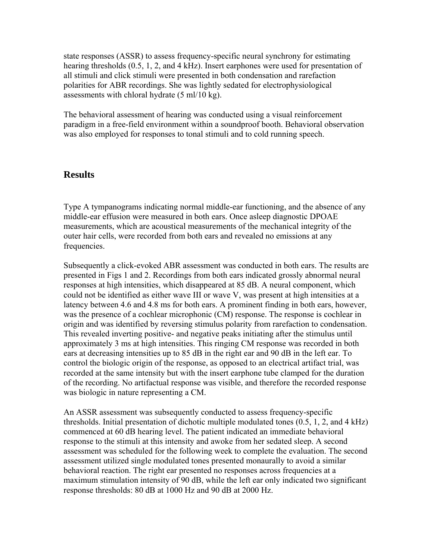state responses (ASSR) to assess frequency-specific neural synchrony for estimating hearing thresholds (0.5, 1, 2, and 4 kHz). Insert earphones were used for presentation of all stimuli and click stimuli were presented in both condensation and rarefaction polarities for ABR recordings. She was lightly sedated for electrophysiological assessments with chloral hydrate (5 ml/10 kg).

The behavioral assessment of hearing was conducted using a visual reinforcement paradigm in a free-field environment within a soundproof booth. Behavioral observation was also employed for responses to tonal stimuli and to cold running speech.

#### **Results**

Type A tympanograms indicating normal middle-ear functioning, and the absence of any middle-ear effusion were measured in both ears. Once asleep diagnostic DPOAE measurements, which are acoustical measurements of the mechanical integrity of the outer hair cells, were recorded from both ears and revealed no emissions at any frequencies.

Subsequently a click-evoked ABR assessment was conducted in both ears. The results are presented in Figs 1 and 2. Recordings from both ears indicated grossly abnormal neural responses at high intensities, which disappeared at 85 dB. A neural component, which could not be identified as either wave III or wave V, was present at high intensities at a latency between 4.6 and 4.8 ms for both ears. A prominent finding in both ears, however, was the presence of a cochlear microphonic (CM) response. The response is cochlear in origin and was identified by reversing stimulus polarity from rarefaction to condensation. This revealed inverting positive- and negative peaks initiating after the stimulus until approximately 3 ms at high intensities. This ringing CM response was recorded in both ears at decreasing intensities up to 85 dB in the right ear and 90 dB in the left ear. To control the biologic origin of the response, as opposed to an electrical artifact trial, was recorded at the same intensity but with the insert earphone tube clamped for the duration of the recording. No artifactual response was visible, and therefore the recorded response was biologic in nature representing a CM.

An ASSR assessment was subsequently conducted to assess frequency-specific thresholds. Initial presentation of dichotic multiple modulated tones (0.5, 1, 2, and 4 kHz) commenced at 60 dB hearing level. The patient indicated an immediate behavioral response to the stimuli at this intensity and awoke from her sedated sleep. A second assessment was scheduled for the following week to complete the evaluation. The second assessment utilized single modulated tones presented monaurally to avoid a similar behavioral reaction. The right ear presented no responses across frequencies at a maximum stimulation intensity of 90 dB, while the left ear only indicated two significant response thresholds: 80 dB at 1000 Hz and 90 dB at 2000 Hz.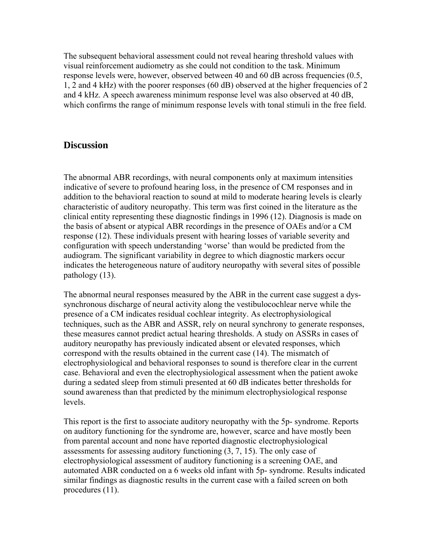The subsequent behavioral assessment could not reveal hearing threshold values with visual reinforcement audiometry as she could not condition to the task. Minimum response levels were, however, observed between 40 and 60 dB across frequencies (0.5, 1, 2 and 4 kHz) with the poorer responses (60 dB) observed at the higher frequencies of 2 and 4 kHz. A speech awareness minimum response level was also observed at 40 dB, which confirms the range of minimum response levels with tonal stimuli in the free field.

#### **Discussion**

The abnormal ABR recordings, with neural components only at maximum intensities indicative of severe to profound hearing loss, in the presence of CM responses and in addition to the behavioral reaction to sound at mild to moderate hearing levels is clearly characteristic of auditory neuropathy. This term was first coined in the literature as the clinical entity representing these diagnostic findings in 1996 (12). Diagnosis is made on the basis of absent or atypical ABR recordings in the presence of OAEs and/or a CM response (12). These individuals present with hearing losses of variable severity and configuration with speech understanding 'worse' than would be predicted from the audiogram. The significant variability in degree to which diagnostic markers occur indicates the heterogeneous nature of auditory neuropathy with several sites of possible pathology (13).

The abnormal neural responses measured by the ABR in the current case suggest a dyssynchronous discharge of neural activity along the vestibulocochlear nerve while the presence of a CM indicates residual cochlear integrity. As electrophysiological techniques, such as the ABR and ASSR, rely on neural synchrony to generate responses, these measures cannot predict actual hearing thresholds. A study on ASSRs in cases of auditory neuropathy has previously indicated absent or elevated responses, which correspond with the results obtained in the current case (14). The mismatch of electrophysiological and behavioral responses to sound is therefore clear in the current case. Behavioral and even the electrophysiological assessment when the patient awoke during a sedated sleep from stimuli presented at 60 dB indicates better thresholds for sound awareness than that predicted by the minimum electrophysiological response **levels** 

This report is the first to associate auditory neuropathy with the 5p- syndrome. Reports on auditory functioning for the syndrome are, however, scarce and have mostly been from parental account and none have reported diagnostic electrophysiological assessments for assessing auditory functioning (3, 7, 15). The only case of electrophysiological assessment of auditory functioning is a screening OAE, and automated ABR conducted on a 6 weeks old infant with 5p- syndrome. Results indicated similar findings as diagnostic results in the current case with a failed screen on both procedures (11).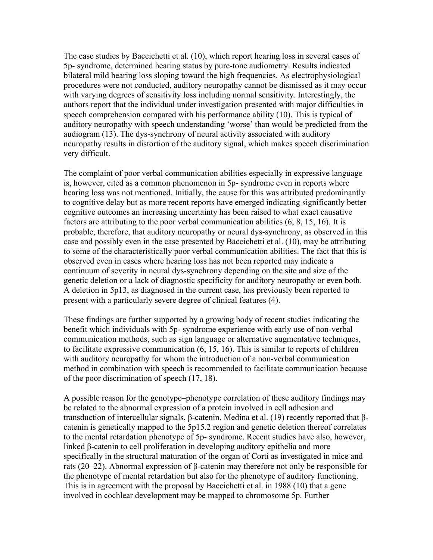The case studies by Baccichetti et al. (10), which report hearing loss in several cases of 5p- syndrome, determined hearing status by pure-tone audiometry. Results indicated bilateral mild hearing loss sloping toward the high frequencies. As electrophysiological procedures were not conducted, auditory neuropathy cannot be dismissed as it may occur with varying degrees of sensitivity loss including normal sensitivity. Interestingly, the authors report that the individual under investigation presented with major difficulties in speech comprehension compared with his performance ability (10). This is typical of auditory neuropathy with speech understanding 'worse' than would be predicted from the audiogram (13). The dys-synchrony of neural activity associated with auditory neuropathy results in distortion of the auditory signal, which makes speech discrimination very difficult.

The complaint of poor verbal communication abilities especially in expressive language is, however, cited as a common phenomenon in 5p- syndrome even in reports where hearing loss was not mentioned. Initially, the cause for this was attributed predominantly to cognitive delay but as more recent reports have emerged indicating significantly better cognitive outcomes an increasing uncertainty has been raised to what exact causative factors are attributing to the poor verbal communication abilities (6, 8, 15, 16). It is probable, therefore, that auditory neuropathy or neural dys-synchrony, as observed in this case and possibly even in the case presented by Baccichetti et al. (10), may be attributing to some of the characteristically poor verbal communication abilities. The fact that this is observed even in cases where hearing loss has not been reported may indicate a continuum of severity in neural dys-synchrony depending on the site and size of the genetic deletion or a lack of diagnostic specificity for auditory neuropathy or even both. A deletion in 5p13, as diagnosed in the current case, has previously been reported to present with a particularly severe degree of clinical features (4).

These findings are further supported by a growing body of recent studies indicating the benefit which individuals with 5p- syndrome experience with early use of non-verbal communication methods, such as sign language or alternative augmentative techniques, to facilitate expressive communication (6, 15, 16). This is similar to reports of children with auditory neuropathy for whom the introduction of a non-verbal communication method in combination with speech is recommended to facilitate communication because of the poor discrimination of speech (17, 18).

A possible reason for the genotype–phenotype correlation of these auditory findings may be related to the abnormal expression of a protein involved in cell adhesion and transduction of intercellular signals, β-catenin. Medina et al. (19) recently reported that βcatenin is genetically mapped to the 5p15.2 region and genetic deletion thereof correlates to the mental retardation phenotype of 5p- syndrome. Recent studies have also, however, linked β-catenin to cell proliferation in developing auditory epithelia and more specifically in the structural maturation of the organ of Corti as investigated in mice and rats (20–22). Abnormal expression of β-catenin may therefore not only be responsible for the phenotype of mental retardation but also for the phenotype of auditory functioning. This is in agreement with the proposal by Baccichetti et al. in 1988 (10) that a gene involved in cochlear development may be mapped to chromosome 5p. Further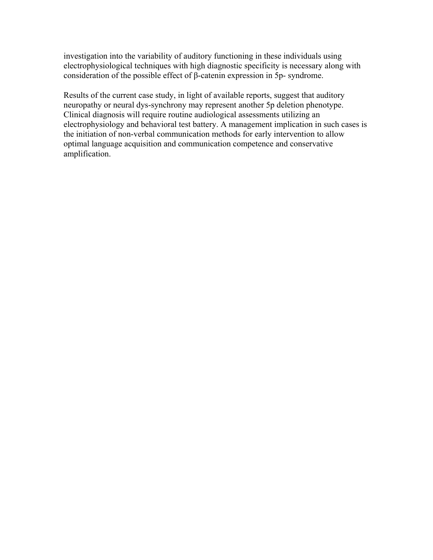investigation into the variability of auditory functioning in these individuals using electrophysiological techniques with high diagnostic specificity is necessary along with consideration of the possible effect of β-catenin expression in 5p- syndrome.

Results of the current case study, in light of available reports, suggest that auditory neuropathy or neural dys-synchrony may represent another 5p deletion phenotype. Clinical diagnosis will require routine audiological assessments utilizing an electrophysiology and behavioral test battery. A management implication in such cases is the initiation of non-verbal communication methods for early intervention to allow optimal language acquisition and communication competence and conservative amplification.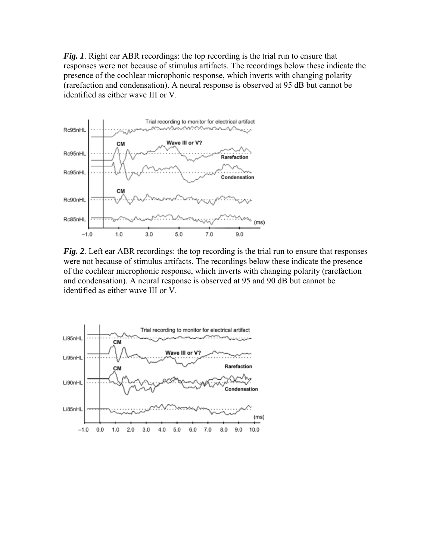*Fig. 1.* Right ear ABR recordings: the top recording is the trial run to ensure that responses were not because of stimulus artifacts. The recordings below these indicate the presence of the cochlear microphonic response, which inverts with changing polarity (rarefaction and condensation). A neural response is observed at 95 dB but cannot be identified as either wave III or V.



*Fig. 2.* Left ear ABR recordings: the top recording is the trial run to ensure that responses were not because of stimulus artifacts. The recordings below these indicate the presence of the cochlear microphonic response, which inverts with changing polarity (rarefaction and condensation). A neural response is observed at 95 and 90 dB but cannot be identified as either wave III or V.

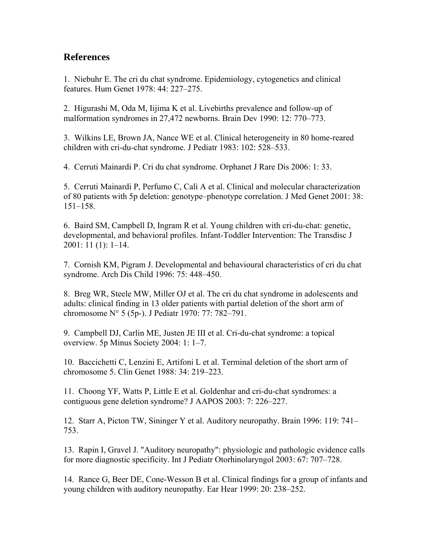### **References**

1. Niebuhr E. The cri du chat syndrome. Epidemiology, cytogenetics and clinical features. Hum Genet 1978: 44: 227–275.

2. Higurashi M, Oda M, Iijima K et al. Livebirths prevalence and follow-up of malformation syndromes in 27,472 newborns. Brain Dev 1990: 12: 770–773.

3. Wilkins LE, Brown JA, Nance WE et al. Clinical heterogeneity in 80 home-reared children with cri-du-chat syndrome. J Pediatr 1983: 102: 528–533.

4. Cerruti Mainardi P. Cri du chat syndrome. Orphanet J Rare Dis 2006: 1: 33.

5. Cerruti Mainardi P, Perfumo C, Calì A et al. Clinical and molecular characterization of 80 patients with 5p deletion: genotype–phenotype correlation. J Med Genet 2001: 38: 151–158.

6. Baird SM, Campbell D, Ingram R et al. Young children with cri-du-chat: genetic, developmental, and behavioral profiles. Infant-Toddler Intervention: The Transdisc J 2001: 11 (1): 1–14.

7. Cornish KM, Pigram J. Developmental and behavioural characteristics of cri du chat syndrome. Arch Dis Child 1996: 75: 448–450.

8. Breg WR, Steele MW, Miller OJ et al. The cri du chat syndrome in adolescents and adults: clinical finding in 13 older patients with partial deletion of the short arm of chromosome N° 5 (5p-). J Pediatr 1970: 77: 782–791.

9. Campbell DJ, Carlin ME, Justen JE III et al. Cri-du-chat syndrome: a topical overview. 5p Minus Society 2004: 1: 1–7.

10. Baccichetti C, Lenzini E, Artifoni L et al. Terminal deletion of the short arm of chromosome 5. Clin Genet 1988: 34: 219–223.

11. Choong YF, Watts P, Little E et al. Goldenhar and cri-du-chat syndromes: a contiguous gene deletion syndrome? J AAPOS 2003: 7: 226–227.

12. Starr A, Picton TW, Sininger Y et al. Auditory neuropathy. Brain 1996: 119: 741– 753.

13. Rapin I, Gravel J. "Auditory neuropathy": physiologic and pathologic evidence calls for more diagnostic specificity. Int J Pediatr Otorhinolaryngol 2003: 67: 707–728.

14. Rance G, Beer DE, Cone-Wesson B et al. Clinical findings for a group of infants and young children with auditory neuropathy. Ear Hear 1999: 20: 238–252.